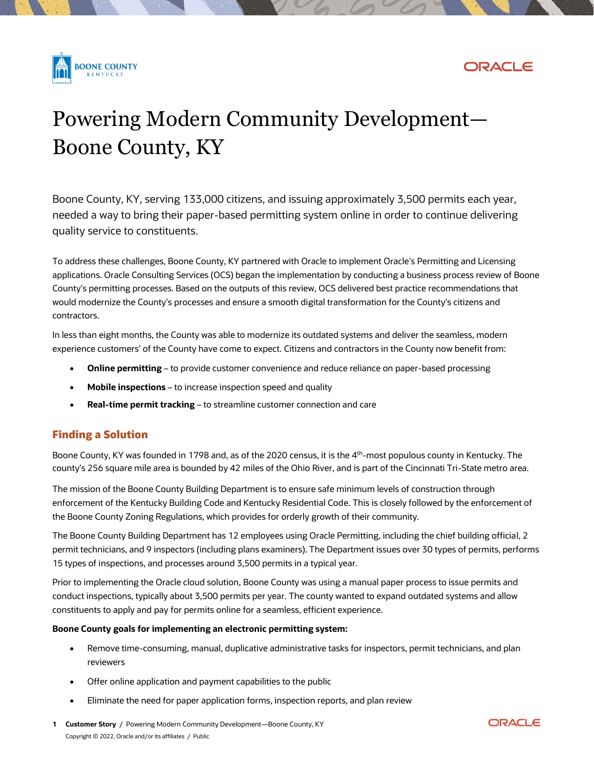



# Powering Modern Community Development— Boone County, KY

Boone County, KY, serving 133,000 citizens, and issuing approximately 3,500 permits each year, needed a way to bring their paper-based permitting system online in order to continue delivering quality service to constituents.

To address these challenges, Boone County, KY partnered with Oracle to implement Oracle's Permitting and Licensing applications. Oracle Consulting Services (OCS) began the implementation by conducting a business process review of Boone County's permitting processes. Based on the outputs of this review, OCS delivered best practice recommendations that would modernize the County's processes and ensure a smooth digital transformation for the County's citizens and contractors.

In less than eight months, the County was able to modernize its outdated systems and deliver the seamless, modern experience customers' of the County have come to expect. Citizens and contractors in the County now benefit from:

- **Online permitting** to provide customer convenience and reduce reliance on paper-based processing
- **Mobile inspections** to increase inspection speed and quality
- **Real-time permit tracking** to streamline customer connection and care

## **Finding a Solution**

Boone County, KY was founded in 1798 and, as of the 2020 census, it is the 4<sup>th</sup>-most populous county in Kentucky. The county's 256 square mile area is bounded by 42 miles of the Ohio River, and is part of the Cincinnati Tri-State metro area.

The mission of the Boone County Building Department is to ensure safe minimum levels of construction through enforcement of the Kentucky Building Code and Kentucky Residential Code. This is closely followed by the enforcement of the Boone County Zoning Regulations, which provides for orderly growth of their community.

The Boone County Building Department has 12 employees using Oracle Permitting, including the chief building official, 2 permit technicians, and 9 inspectors (including plans examiners). The Department issues over 30 types of permits, performs 15 types of inspections, and processes around 3,500 permits in a typical year.

Prior to implementing the Oracle cloud solution, Boone County was using a manual paper process to issue permits and conduct inspections, typically about 3,500 permits per year. The county wanted to expand outdated systems and allow constituents to apply and pay for permits online for a seamless, efficient experience.

#### **Boone County goals for implementing an electronic permitting system:**

- Remove time-consuming, manual, duplicative administrative tasks for inspectors, permit technicians, and plan reviewers
- Offer online application and payment capabilities to the public
- Eliminate the need for paper application forms, inspection reports, and plan review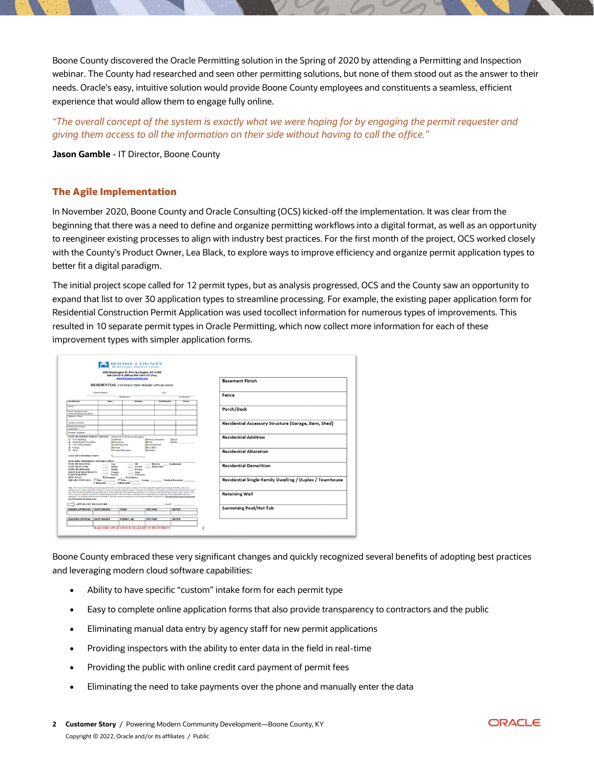Boone County discovered the Oracle Permitting solution in the Spring of 2020 by attending a Permitting and Inspection webinar. The County had researched and seen other permitting solutions, but none of them stood out as the answer to their needs. Oracle's easy, intuitive solution would provide Boone County employees and constituents a seamless, efficient experience that would allow them to engage fully online.

*"The overall concept of the system is exactly what we were hoping for by engaging the permit requester and giving them access to all the information on their side without having to call the office."* 

**Jason Gamble** - IT Director, Boone County

### **The Agile Implementation**

In November 2020, Boone County and Oracle Consulting (OCS) kicked-off the implementation. It was clear from the beginning that there was a need to define and organize permitting workflows into a digital format, as well as an opportunity to reengineer existing processes to align with industry best practices. For the first month of the project, OCS worked closely with the County's Product Owner, Lea Black, to explore ways to improve efficiency and organize permit application types to better fit a digital paradigm.

The initial project scope called for 12 permit types, but as analysis progressed, OCS and the County saw an opportunity to expand that list to over 30 application types to streamline processing. For example, the existing paper application form for Residential Construction Permit Application was used tocollect information for numerous types of improvements. This resulted in 10 separate permit types in Oracle Permitting, which now collect more information for each of these improvement types with simpler application forms.

| 2950 Washington St. #312 Burlington, KY 41005<br>859-334-2218 (Office) 859-334-3137 (Fax)<br>www.boonecountyky.org<br><b>RESIDENTIAL CONSTRUCTION PERMIT APPLICATION</b>                                                               |                                                                                    |                                                                                                                                                                                                                                                                                                                                                                                                                                                                                                                                                                                                                                                                                                            |                                                             |                    | <b>Basement Finish</b>                                  |
|----------------------------------------------------------------------------------------------------------------------------------------------------------------------------------------------------------------------------------------|------------------------------------------------------------------------------------|------------------------------------------------------------------------------------------------------------------------------------------------------------------------------------------------------------------------------------------------------------------------------------------------------------------------------------------------------------------------------------------------------------------------------------------------------------------------------------------------------------------------------------------------------------------------------------------------------------------------------------------------------------------------------------------------------------|-------------------------------------------------------------|--------------------|---------------------------------------------------------|
|                                                                                                                                                                                                                                        | (Street Address)                                                                   |                                                                                                                                                                                                                                                                                                                                                                                                                                                                                                                                                                                                                                                                                                            | (0, 0)                                                      |                    | Fence                                                   |
|                                                                                                                                                                                                                                        |                                                                                    | <b>Subdivision:</b>                                                                                                                                                                                                                                                                                                                                                                                                                                                                                                                                                                                                                                                                                        |                                                             | <b>Got Number:</b> |                                                         |
| <b>Mandinaton</b>                                                                                                                                                                                                                      | <b>Nome</b>                                                                        | Address                                                                                                                                                                                                                                                                                                                                                                                                                                                                                                                                                                                                                                                                                                    | <b>City State Zip</b>                                       | Phone              |                                                         |
| Owner<br><b>Permit Applicant Name</b><br>(same as applicant signature)<br>Applears Email                                                                                                                                               |                                                                                    |                                                                                                                                                                                                                                                                                                                                                                                                                                                                                                                                                                                                                                                                                                            |                                                             |                    | Porch/Deck                                              |
| <b>General Contractor</b><br><b>Electrical Contractor</b><br><b>License No:</b>                                                                                                                                                        |                                                                                    |                                                                                                                                                                                                                                                                                                                                                                                                                                                                                                                                                                                                                                                                                                            |                                                             |                    | Residential Accessory Structure (Garage, Barn, Shed)    |
| <b>Architect - Engineer</b><br>TYPE OF IMPROVEMENT AND USE: (Check all of the boxes that apply)<br><b>Q</b> New Building<br><b>Q</b> Single Family Dwelling<br><sup>2</sup> Two Family Duplex<br><b>Q</b> Garage                       | <b>QAddition</b><br><b>ODemolition</b><br><b>OSwimming Pool</b><br><b>GHot</b> tub | <b>GPorch</b><br><b>ORetaining Wall</b><br><b>GPole Barn</b>                                                                                                                                                                                                                                                                                                                                                                                                                                                                                                                                                                                                                                               | <b>Glasgrier Alteration</b><br><b>QDeck</b><br><b>DOMar</b> |                    | <b>Residential Addition</b>                             |
|                                                                                                                                                                                                                                        |                                                                                    |                                                                                                                                                                                                                                                                                                                                                                                                                                                                                                                                                                                                                                                                                                            |                                                             |                    |                                                         |
|                                                                                                                                                                                                                                        | <b>GFinished Basement</b><br>Gm                                                    | <b>QM</b> odular<br><b>Chil</b>                                                                                                                                                                                                                                                                                                                                                                                                                                                                                                                                                                                                                                                                            |                                                             | <b>Gesthermal</b>  | <b>Residential Alteration</b>                           |
| <b>Q</b> Shed<br><b>COST OF CONSTRUCTION:</b><br>DESCRIBE PROPOSED CONSTRUCTION:<br><b>TYPE OF HEATING:</b><br><b>TYPE OF WATER:</b><br><b>TYPE OF SEWAGE:</b><br><b>ROW ENCROACHMENT:</b><br><b>FARM EXEMPT?</b><br><b>IECC HVAC:</b> | Public<br>$\sim$<br>Public<br><b>County</b><br>Yev'Ne<br>Performance               | Private<br>$\sim$<br>$\sim$<br>Private<br>State<br># of Acres<br>Prescriptive                                                                                                                                                                                                                                                                                                                                                                                                                                                                                                                                                                                                                              | Electric _____<br><b>Flood Zone</b>                         |                    | <b>Residential Demolition</b>                           |
|                                                                                                                                                                                                                                        | 2 <sup>nd</sup> floor<br># Bedrooms                                                | Garage<br># Bathrooms<br>Nata: The ewner of this building and undersigned do horshy coverage and agent to comply with all the applicable regulations pertaining to building codes and                                                                                                                                                                                                                                                                                                                                                                                                                                                                                                                      | <b>Finished Basement</b>                                    |                    | Residential Single-Family Dwelling / Duplex / Townhouse |
| <b>SQUARE FOOTAGE: 1" floor:</b><br>the 2011 Kentucky Residential Code                                                                                                                                                                 |                                                                                    | buildings and to construct posessed building or structure or make the responsed change or alteration in accordance with the alans and specifications submitted hours ids.<br>and certify that the information and statements given on this application, drawings and specifications are to the heat of their knowledge true and connect. Failure of this<br>office to note all violations in the review of plans and specifications does not referre contractors of the responsibility of complying with the applicable codes and<br>regulations. The Building Official reserves the right to enter the construction premises at will during resonable working brow. This analysism will be reviewed under |                                                             |                    | <b>Retaining Wall</b>                                   |
| <b>APPLICANT SIGNATURE:</b><br>ZONING APPROVAL   DATE ISSUED                                                                                                                                                                           |                                                                                    | FEE PAID<br>ZONE                                                                                                                                                                                                                                                                                                                                                                                                                                                                                                                                                                                                                                                                                           | <b>DATE:</b>                                                | NOTES              | <b>Swimming Pool/Hot Tub</b>                            |

Boone County embraced these very significant changes and quickly recognized several benefits of adopting best practices and leveraging modern cloud software capabilities:

- Ability to have specific "custom" intake form for each permit type
- Easy to complete online application forms that also provide transparency to contractors and the public
- Eliminating manual data entry by agency staff for new permit applications
- Providing inspectors with the ability to enter data in the field in real-time
- Providing the public with online credit card payment of permit fees
- Eliminating the need to take payments over the phone and manually enter the data

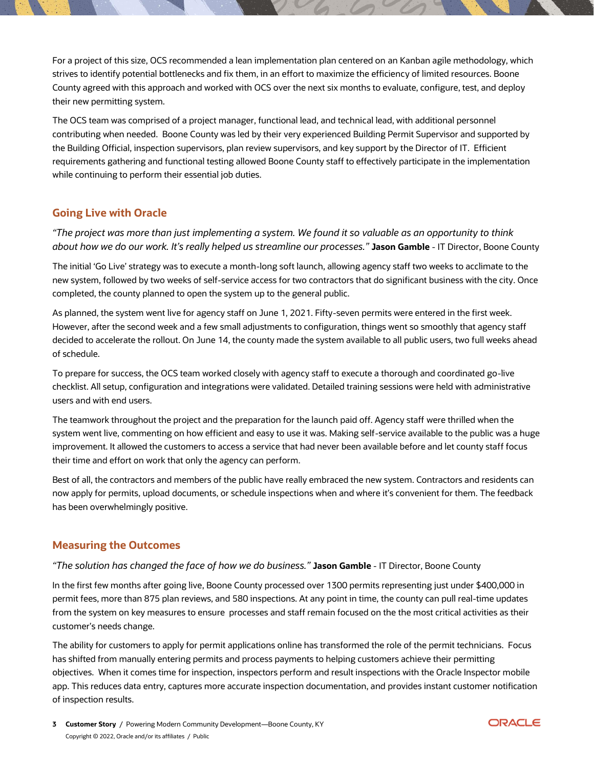For a project of this size, OCS recommended a lean implementation plan centered on an Kanban agile methodology, which strives to identify potential bottlenecks and fix them, in an effort to maximize the efficiency of limited resources. Boone County agreed with this approach and worked with OCS over the next six months to evaluate, configure, test, and deploy their new permitting system.

The OCS team was comprised of a project manager, functional lead, and technical lead, with additional personnel contributing when needed. Boone County was led by their very experienced Building Permit Supervisor and supported by the Building Official, inspection supervisors, plan review supervisors, and key support by the Director of IT. Efficient requirements gathering and functional testing allowed Boone County staff to effectively participate in the implementation while continuing to perform their essential job duties.

## **Going Live with Oracle**

*"The project was more than just implementing a system. We found it so valuable as an opportunity to think about how we do our work. It's really helped us streamline our processes."* **Jason Gamble** - IT Director, Boone County

The initial 'Go Live' strategy was to execute a month-long soft launch, allowing agency staff two weeks to acclimate to the new system, followed by two weeks of self-service access for two contractors that do significant business with the city. Once completed, the county planned to open the system up to the general public.

As planned, the system went live for agency staff on June 1, 2021. Fifty-seven permits were entered in the first week. However, after the second week and a few small adjustments to configuration, things went so smoothly that agency staff decided to accelerate the rollout. On June 14, the county made the system available to all public users, two full weeks ahead of schedule.

To prepare for success, the OCS team worked closely with agency staff to execute a thorough and coordinated go-live checklist. All setup, configuration and integrations were validated. Detailed training sessions were held with administrative users and with end users.

The teamwork throughout the project and the preparation for the launch paid off. Agency staff were thrilled when the system went live, commenting on how efficient and easy to use it was. Making self-service available to the public was a huge improvement. It allowed the customers to access a service that had never been available before and let county staff focus their time and effort on work that only the agency can perform.

Best of all, the contractors and members of the public have really embraced the new system. Contractors and residents can now apply for permits, upload documents, or schedule inspections when and where it's convenient for them. The feedback has been overwhelmingly positive.

## **Measuring the Outcomes**

#### *"The solution has changed the face of how we do business."* **Jason Gamble** - IT Director, Boone County

In the first few months after going live, Boone County processed over 1300 permits representing just under \$400,000 in permit fees, more than 875 plan reviews, and 580 inspections. At any point in time, the county can pull real-time updates from the system on key measures to ensure processes and staff remain focused on the the most critical activities as their customer's needs change.

The ability for customers to apply for permit applications online has transformed the role of the permit technicians. Focus has shifted from manually entering permits and process payments to helping customers achieve their permitting objectives. When it comes time for inspection, inspectors perform and result inspections with the Oracle Inspector mobile app. This reduces data entry, captures more accurate inspection documentation, and provides instant customer notification of inspection results.

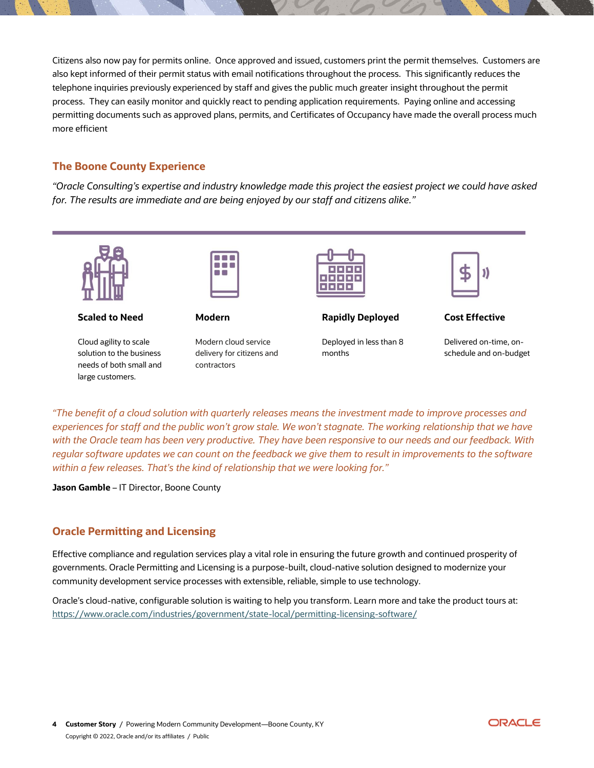Citizens also now pay for permits online. Once approved and issued, customers print the permit themselves. Customers are also kept informed of their permit status with email notifications throughout the process. This significantly reduces the telephone inquiries previously experienced by staff and gives the public much greater insight throughout the permit process. They can easily monitor and quickly react to pending application requirements. Paying online and accessing permitting documents such as approved plans, permits, and Certificates of Occupancy have made the overall process much more efficient

## **The Boone County Experience**

*"Oracle Consulting's expertise and industry knowledge made this project the easiest project we could have asked for. The results are immediate and are being enjoyed by our staff and citizens alike."*



#### **Scaled to Need**

Cloud agility to scale solution to the business needs of both small and large customers.



**Modern**

Modern cloud service delivery for citizens and contractors



**Rapidly Deployed**

Deployed in less than 8 months



**Cost Effective**

Delivered on-time, onschedule and on-budget

*"The benefit of a cloud solution with quarterly releases means the investment made to improve processes and experiences for staff and the public won't grow stale. We won't stagnate. The working relationship that we have with the Oracle team has been very productive. They have been responsive to our needs and our feedback. With regular software updates we can count on the feedback we give them to result in improvements to the software within a few releases. That's the kind of relationship that we were looking for."*

**Jason Gamble** – IT Director, Boone County

## **Oracle Permitting and Licensing**

Effective compliance and regulation services play a vital role in ensuring the future growth and continued prosperity of governments. Oracle Permitting and Licensing is a purpose-built, cloud-native solution designed to modernize your community development service processes with extensible, reliable, simple to use technology.

Oracle's cloud-native, configurable solution is waiting to help you transform. Learn more and take the product tours at: <https://www.oracle.com/industries/government/state-local/permitting-licensing-software/>